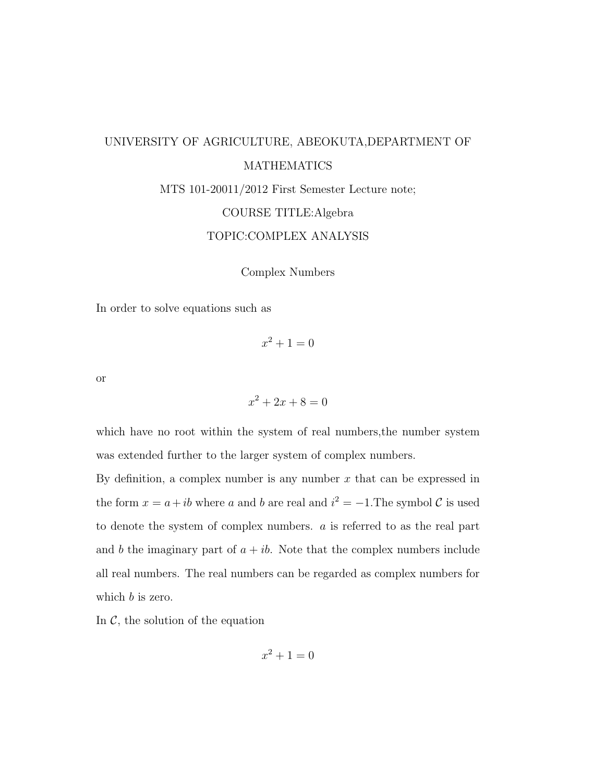# UNIVERSITY OF AGRICULTURE, ABEOKUTA,DEPARTMENT OF MATHEMATICS MTS 101-20011/2012 First Semester Lecture note; COURSE TITLE:Algebra TOPIC:COMPLEX ANALYSIS

Complex Numbers

In order to solve equations such as

 $x^2 + 1 = 0$ 

or

 $x^2 + 2x + 8 = 0$ 

which have no root within the system of real numbers, the number system was extended further to the larger system of complex numbers.

By definition, a complex number is any number  $x$  that can be expressed in the form  $x = a + ib$  where a and b are real and  $i^2 = -1$ . The symbol C is used to denote the system of complex numbers. a is referred to as the real part and b the imaginary part of  $a + ib$ . Note that the complex numbers include all real numbers. The real numbers can be regarded as complex numbers for which *b* is zero.

In  $\mathcal{C}$ , the solution of the equation

$$
x^2 + 1 = 0
$$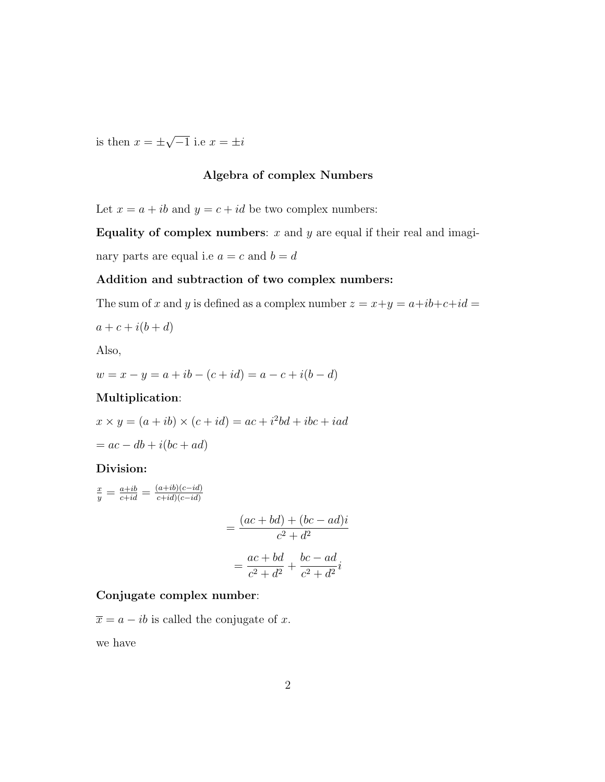is then  $x = \pm$ √  $\overline{-1}$  i.e  $x = \pm i$ 

#### Algebra of complex Numbers

Let  $x = a + ib$  and  $y = c + id$  be two complex numbers:

Equality of complex numbers:  $x$  and  $y$  are equal if their real and imaginary parts are equal i.e  $a = c$  and  $b = d$ 

#### Addition and subtraction of two complex numbers:

The sum of x and y is defined as a complex number  $z = x+y = a+ib+c+id$ 

$$
a + c + i(b + d)
$$

Also,

$$
w = x - y = a + ib - (c + id) = a - c + i(b - d)
$$

#### Multiplication:

 $x \times y = (a + ib) \times (c + id) = ac + i^2bd + ibc + iad$  $= ac - db + i(bc + ad)$ 

#### Division:

$$
\frac{x}{y} = \frac{a+ib}{c+id} = \frac{(a+ib)(c-id)}{c+id(c-id)}
$$

$$
= \frac{(ac+bd)+(bc-ad)i}{c^2+d^2}
$$

$$
= \frac{ac+bd}{c^2+d^2} + \frac{bc-ad}{c^2+d^2}i
$$

#### Conjugate complex number:

 $\overline{x} = a - ib$  is called the conjugate of x.

we have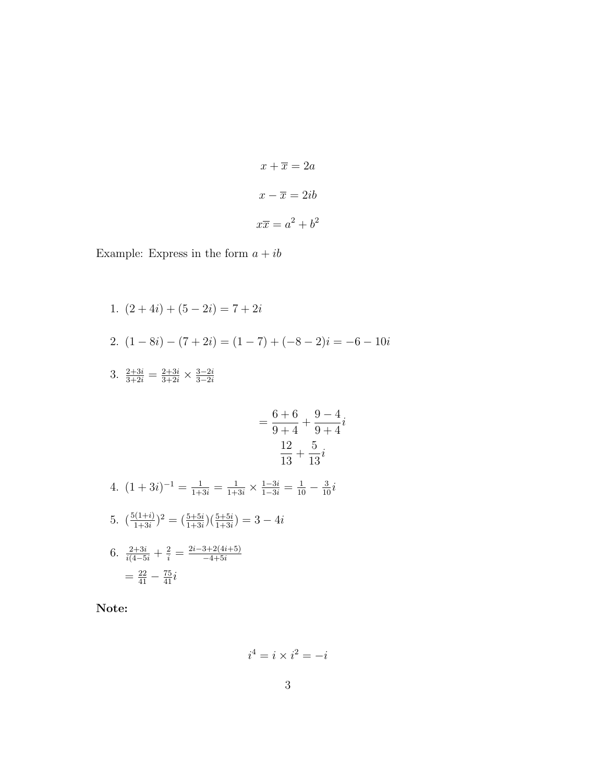$$
x + \overline{x} = 2a
$$

$$
x - \overline{x} = 2ib
$$

$$
x\overline{x} = a^2 + b^2
$$

Example: Express in the form  $a+ib$ 

1.  $(2+4i) + (5-2i) = 7+2i$ 2.  $(1-8i) - (7+2i) = (1-7) + (-8-2)i = -6-10i$ 3.  $\frac{2+3i}{3+2i} = \frac{2+3i}{3+2i} \times \frac{3-2i}{3-2i}$ 3−2i =  $6 + 6$  $9 + 4$  $+$  $9 - 4$  $9 + 4$ i 12 13  $^{+}$ 5 13 i 4.  $(1+3i)^{-1} = \frac{1}{1+3i} = \frac{1}{1+3i} \times \frac{1-3i}{1-3i} = \frac{1}{10} - \frac{3}{10}i$ 5.  $\left(\frac{5(1+i)}{1+3i}\right)$  $\frac{1+(1+i)}{1+3i})^2 = \left(\frac{5+5i}{1+3i}\right)\left(\frac{5+5i}{1+3i}\right) = 3-4i$ 6.  $\frac{2+3i}{i(4-5i)} + \frac{2}{i} = \frac{2i-3+2(4i+5)}{-4+5i}$  $-4+5i$  $=\frac{22}{41}-\frac{75}{41}i$ 

Note:

$$
i^4 = i \times i^2 = -i
$$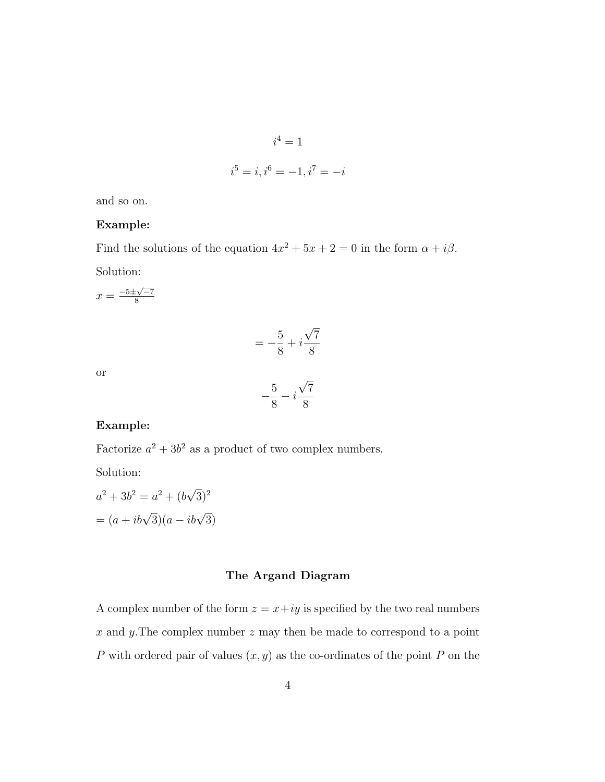$$
i4 = 1
$$
  

$$
i5 = i, i6 = -1, i7 = -i
$$

and so on.

#### Example:

Find the solutions of the equation  $4x^2 + 5x + 2 = 0$  in the form  $\alpha + i\beta$ . Solution:

 $x = \frac{-5 \pm \sqrt{-7}}{8}$ 8

$$
=-\frac{5}{8}+i\frac{\sqrt{7}}{8}
$$

or

$$
-\frac{5}{8} - i\frac{\sqrt{7}}{8}
$$

#### Example:

Factorize  $a^2 + 3b^2$  as a product of two complex numbers.

Solution:

$$
a2 + 3b2 = a2 + (b\sqrt{3})2
$$

$$
= (a + ib\sqrt{3})(a - ib\sqrt{3})
$$

#### The Argand Diagram

A complex number of the form  $z = x+iy$  is specified by the two real numbers  $x$  and  $y$ . The complex number  $z$  may then be made to correspond to a point P with ordered pair of values  $(x, y)$  as the co-ordinates of the point P on the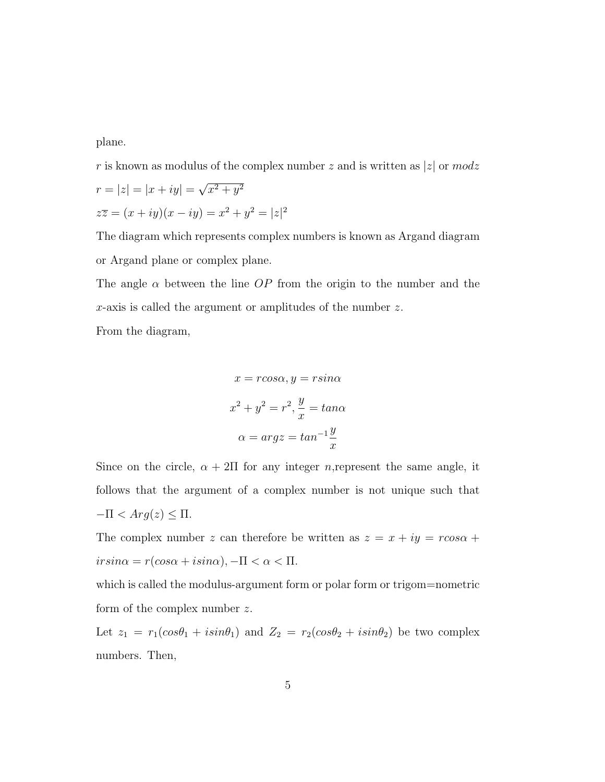plane.

r is known as modulus of the complex number z and is written as |z| or  $modz$ √

$$
r = |z| = |x + iy| = \sqrt{x^2 + y^2}
$$
  

$$
z\overline{z} = (x + iy)(x - iy) = x^2 + y^2 = |z|^2
$$

The diagram which represents complex numbers is known as Argand diagram or Argand plane or complex plane.

The angle  $\alpha$  between the line OP from the origin to the number and the x-axis is called the argument or amplitudes of the number z.

From the diagram,

$$
x = r\cos\alpha, y = r\sin\alpha
$$

$$
x^2 + y^2 = r^2, \frac{y}{x} = \tan\alpha
$$

$$
\alpha = \arg z = \tan^{-1}\frac{y}{x}
$$

Since on the circle,  $\alpha + 2\Pi$  for any integer *n*, represent the same angle, it follows that the argument of a complex number is not unique such that  $-\Pi < Arg(z) \leq \Pi$ .

The complex number z can therefore be written as  $z = x + iy = r\cos\alpha +$  $irsin\alpha = r(cos\alpha + i sin\alpha), -\Pi < \alpha < \Pi.$ 

which is called the modulus-argument form or polar form or trigom=nometric form of the complex number z.

Let  $z_1 = r_1(cos\theta_1 + isin\theta_1)$  and  $Z_2 = r_2(cos\theta_2 + isin\theta_2)$  be two complex numbers. Then,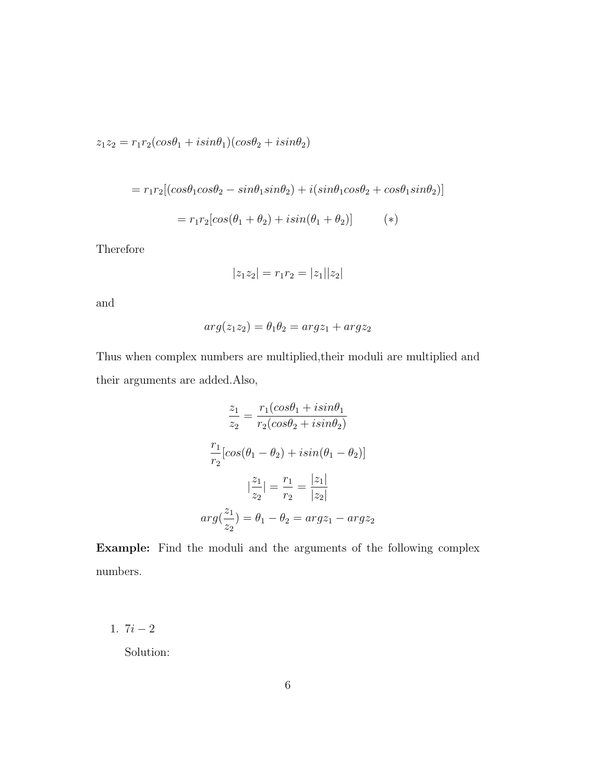$z_1z_2=r_1r_2(cos\theta_1+isin\theta_1)(cos\theta_2+isin\theta_2)$ 

$$
= r_1r_2[(cos\theta_1cos\theta_2 - sin\theta_1sin\theta_2) + i(sin\theta_1cos\theta_2 + cos\theta_1sin\theta_2)]
$$

$$
= r_1r_2[cos(\theta_1 + \theta_2) + i sin(\theta_1 + \theta_2)] \qquad (*)
$$

Therefore

$$
|z_1z_2| = r_1r_2 = |z_1||z_2|
$$

and

$$
arg(z_1 z_2) = \theta_1 \theta_2 = arg z_1 + arg z_2
$$

Thus when complex numbers are multiplied,their moduli are multiplied and their arguments are added.Also,

$$
\frac{z_1}{z_2} = \frac{r_1(\cos\theta_1 + i\sin\theta_1)}{r_2(\cos\theta_2 + i\sin\theta_2)}
$$

$$
\frac{r_1}{r_2}[\cos(\theta_1 - \theta_2) + i\sin(\theta_1 - \theta_2)]
$$

$$
|\frac{z_1}{z_2}| = \frac{r_1}{r_2} = \frac{|z_1|}{|z_2|}
$$

$$
arg(\frac{z_1}{z_2}) = \theta_1 - \theta_2 = argz_1 - argz_2
$$

Example: Find the moduli and the arguments of the following complex numbers.

1.  $7i - 2$ 

Solution: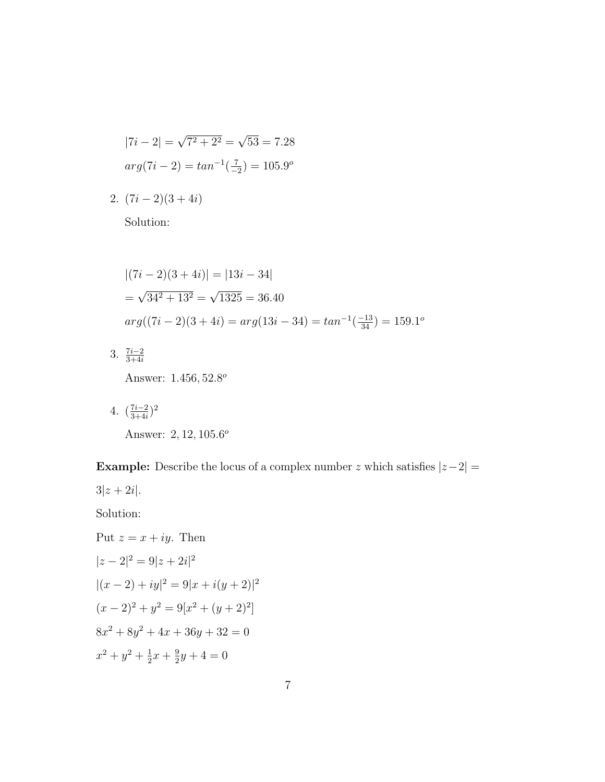$$
|7i - 2| = \sqrt{7^2 + 2^2} = \sqrt{53} = 7.28
$$

$$
arg(7i - 2) = tan^{-1}(\frac{7}{-2}) = 105.9^{\circ}
$$

2.  $(7i-2)(3+4i)$ 

Solution:

$$
|(7i - 2)(3 + 4i)| = |13i - 34|
$$
  
=  $\sqrt{34^2 + 13^2} = \sqrt{1325} = 36.40$   
 $arg((7i - 2)(3 + 4i) = arg(13i - 34)) = tan^{-1}(\frac{-13}{34}) = 159.1^{\circ}$ 

- 3.  $\frac{7i-2}{3+4i}$ Answer: 1.456, 52.8<sup>o</sup>
- 4.  $\left(\frac{7i-2}{3+4i}\right)$  $\frac{7i-2}{3+4i}$ <sup>2</sup> Answer: 2, 12, 105.6<sup>o</sup>

**Example:** Describe the locus of a complex number z which satisfies  $|z-2|$  =

 $3|z + 2i|.$ 

Solution:

Put 
$$
z = x + iy
$$
. Then  
\n
$$
|z - 2|^2 = 9|z + 2i|^2
$$
\n
$$
|(x - 2) + iy|^2 = 9|x + i(y + 2)|^2
$$
\n
$$
(x - 2)^2 + y^2 = 9[x^2 + (y + 2)^2]
$$
\n
$$
8x^2 + 8y^2 + 4x + 36y + 32 = 0
$$
\n
$$
x^2 + y^2 + \frac{1}{2}x + \frac{9}{2}y + 4 = 0
$$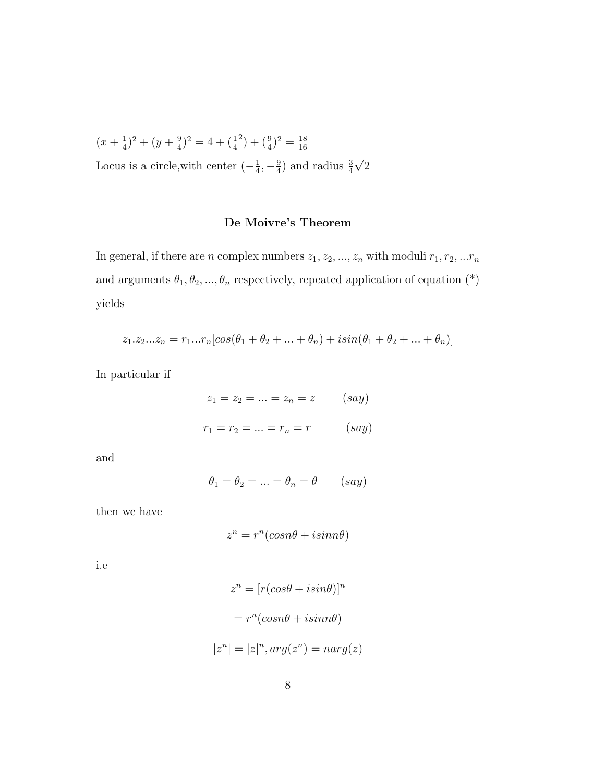$$
(x + \frac{1}{4})^2 + (y + \frac{9}{4})^2 = 4 + (\frac{1}{4})^2 + (\frac{9}{4})^2 = \frac{18}{16}
$$
  
Locus is a circle, with center  $\left(-\frac{1}{4}, -\frac{9}{4}\right)$  and radius  $\frac{3}{4}\sqrt{2}$ 

### De Moivre's Theorem

In general, if there are n complex numbers  $z_1, z_2, ..., z_n$  with moduli  $r_1, r_2, ...r_n$ and arguments  $\theta_1, \theta_2, ..., \theta_n$  respectively, repeated application of equation (\*) yields

$$
z_1 \cdot z_2 \cdot \ldots z_n = r_1 \cdot \ldots \cdot r_n [\cos(\theta_1 + \theta_2 + \ldots + \theta_n) + i \sin(\theta_1 + \theta_2 + \ldots + \theta_n)]
$$

In particular if

$$
z_1 = z_2 = ... = z_n = z
$$
 (say)  
 $r_1 = r_2 = ... = r_n = r$  (say)

and

$$
\theta_1 = \theta_2 = \ldots = \theta_n = \theta \qquad (say)
$$

then we have

$$
z^n = r^n(\cos n\theta + i\sin n\theta)
$$

i.e

$$
z^{n} = [r(cos\theta + i sin\theta)]^{n}
$$

$$
= r^{n}(cosn\theta + i sinn\theta)
$$

$$
|z^{n}| = |z|^{n}, arg(z^{n}) = narg(z)
$$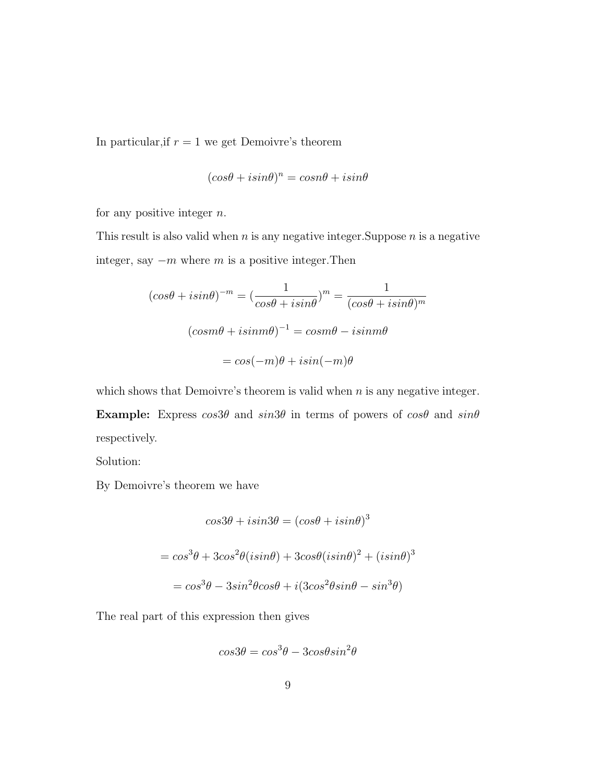In particular, if  $r = 1$  we get Demoivre's theorem

$$
(cos\theta + i sin\theta)^n = cosn\theta + i sin\theta
$$

for any positive integer  $n$ .

This result is also valid when  $n$  is any negative integer. Suppose  $n$  is a negative integer, say  $-m$  where m is a positive integer. Then

$$
(cos\theta + i sin\theta)^{-m} = \left(\frac{1}{cos\theta + i sin\theta}\right)^m = \frac{1}{(cos\theta + i sin\theta)^m}
$$

$$
(cosm\theta + i sinm\theta)^{-1} = cosm\theta - i sinm\theta
$$

$$
= cos(-m)\theta + i sin(-m)\theta
$$

which shows that Demoivre's theorem is valid when  $n$  is any negative integer.

Example: Express  $\cos 3\theta$  and  $\sin 3\theta$  in terms of powers of  $\cos \theta$  and  $\sin \theta$ respectively.

Solution:

By Demoivre's theorem we have

$$
cos3\theta + i sin3\theta = (cos\theta + i sin\theta)^3
$$

$$
= cos^3\theta + 3cos^2\theta (isin\theta) + 3cos\theta (isin\theta)^2 + (isin\theta)^3
$$

$$
= cos^3\theta - 3sin^2\theta cos\theta + i(3cos^2\theta sin\theta - sin^3\theta)
$$

The real part of this expression then gives

$$
cos3\theta = cos^3\theta - 3cos\theta sin^2\theta
$$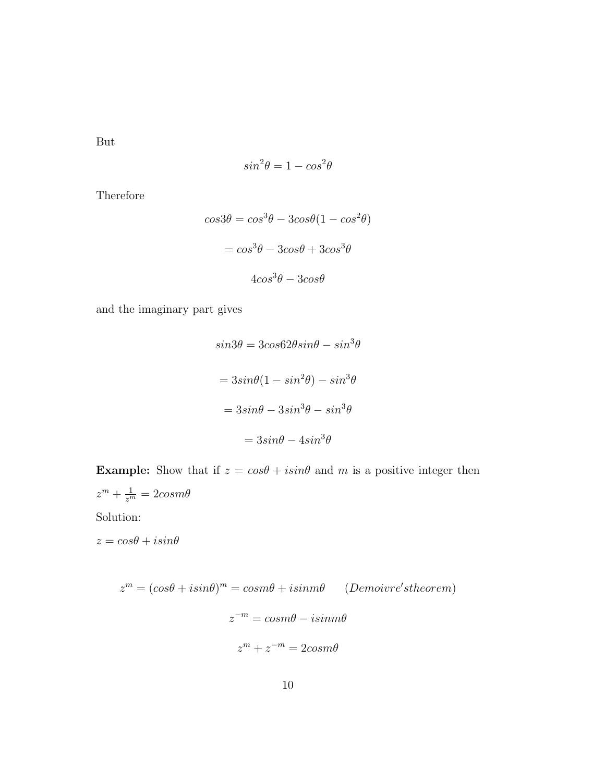But

$$
sin^2\theta = 1 - cos^2\theta
$$

Therefore

$$
cos3\theta = cos^{3}\theta - 3cos\theta(1 - cos^{2}\theta)
$$

$$
= cos^{3}\theta - 3cos\theta + 3cos^{3}\theta
$$

$$
4cos^{3}\theta - 3cos\theta
$$

and the imaginary part gives

$$
sin 3\theta = 3cos62\theta sin\theta - sin^3\theta
$$

$$
= 3sin\theta(1 - sin^2\theta) - sin^3\theta
$$

$$
= 3sin\theta - 3sin^3\theta - sin^3\theta
$$

$$
= 3sin\theta - 4sin^3\theta
$$

**Example:** Show that if  $z = cos\theta + isin\theta$  and m is a positive integer then  $z^m + \frac{1}{z^m} = 2cosm\theta$ Solution:

 $z = cos\theta + i sin\theta$ 

$$
zm = (cos\theta + isin\theta)m = cosm\theta + isinm\theta
$$
 (Demovre'stheorem)  

$$
z-m = cosm\theta - isinm\theta
$$
  

$$
zm + z-m = 2cosm\theta
$$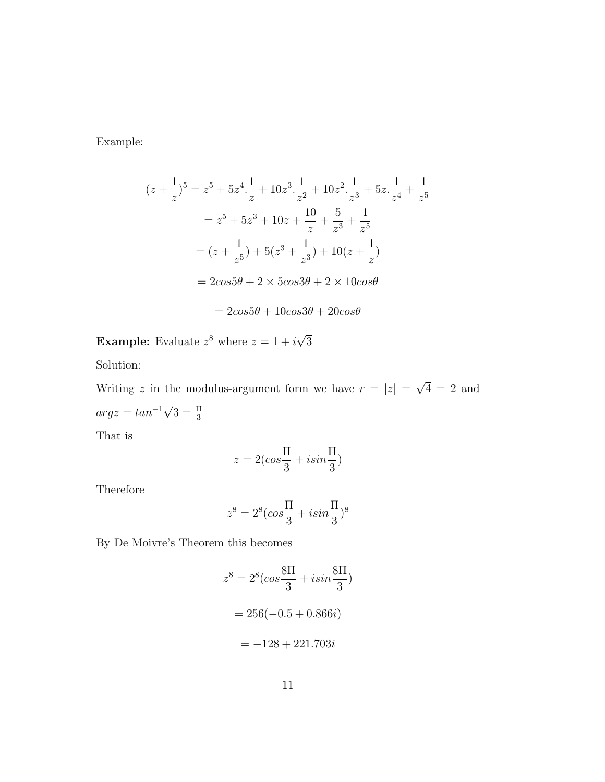Example:

$$
(z + \frac{1}{z})^5 = z^5 + 5z^4 \cdot \frac{1}{z} + 10z^3 \cdot \frac{1}{z^2} + 10z^2 \cdot \frac{1}{z^3} + 5z \cdot \frac{1}{z^4} + \frac{1}{z^5}
$$
  

$$
= z^5 + 5z^3 + 10z + \frac{10}{z} + \frac{5}{z^3} + \frac{1}{z^5}
$$
  

$$
= (z + \frac{1}{z^5}) + 5(z^3 + \frac{1}{z^3}) + 10(z + \frac{1}{z})
$$
  

$$
= 2cos 5\theta + 2 \times 5cos 3\theta + 2 \times 10cos\theta
$$

$$
= 2cos5\theta + 10cos3\theta + 20cos\theta
$$

**Example:** Evaluate  $z^8$  where  $z = 1 + i$ √ 3

Solution:

Writing z in the modulus-argument form we have  $r = |z|$ √  $4 = 2$  and  $arg z = tan^{-1}$ √  $\overline{3} = \frac{\Pi}{3}$ 

That is

$$
z = 2(\cos\frac{\Pi}{3} + i\sin\frac{\Pi}{3})
$$

Therefore

$$
z^8 = 2^8(\cos{\frac{\Pi}{3}} + i\sin{\frac{\Pi}{3}})^8
$$

By De Moivre's Theorem this becomes

$$
z^{8} = 2^{8} (cos \frac{8\Pi}{3} + i sin \frac{8\Pi}{3})
$$

$$
= 256(-0.5 + 0.866i)
$$

$$
= -128 + 221.703i
$$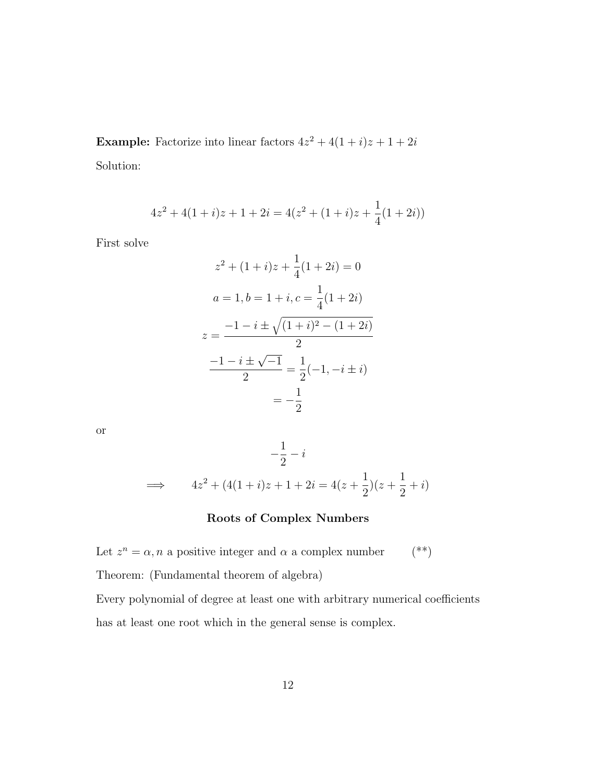**Example:** Factorize into linear factors  $4z^2 + 4(1+i)z + 1 + 2i$ Solution:

$$
4z2 + 4(1+i)z + 1 + 2i = 4(z2 + (1+i)z + \frac{1}{4}(1+2i))
$$

First solve

$$
z^{2} + (1+i)z + \frac{1}{4}(1+2i) = 0
$$
  
\n
$$
a = 1, b = 1+i, c = \frac{1}{4}(1+2i)
$$
  
\n
$$
z = \frac{-1 - i \pm \sqrt{(1+i)^{2} - (1+2i)}}{2}
$$
  
\n
$$
\frac{-1 - i \pm \sqrt{-1}}{2} = \frac{1}{2}(-1, -i \pm i)
$$
  
\n
$$
= -\frac{1}{2}
$$

or

$$
-\frac{1}{2} - i
$$
  

$$
\implies 4z^2 + (4(1+i)z + 1 + 2i = 4(z + \frac{1}{2})(z + \frac{1}{2} + i)
$$

## Roots of Complex Numbers

Let  $z^n = \alpha$ , *n* a positive integer and  $\alpha$  a complex number (\*\*)

Theorem: (Fundamental theorem of algebra)

Every polynomial of degree at least one with arbitrary numerical coefficients has at least one root which in the general sense is complex.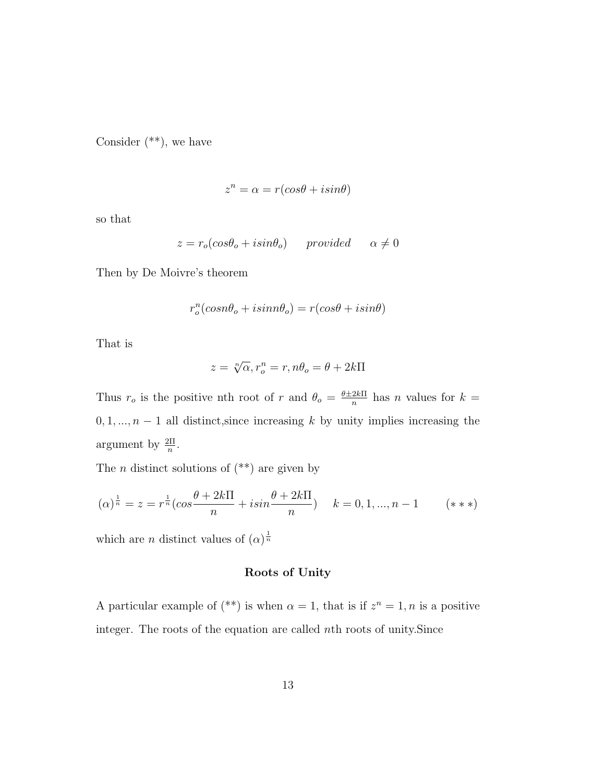Consider  $(**)$ , we have

$$
z^n = \alpha = r(\cos\theta + i\sin\theta)
$$

so that

$$
z = r_o(cos\theta_o + i sin\theta_o) \qquad provided \qquad \alpha \neq 0
$$

Then by De Moivre's theorem

$$
r_o^n(cos n\theta_o + i sin n\theta_o) = r(cos \theta + i sin \theta)
$$

That is

$$
z = \sqrt[n]{\alpha}, r_o^n = r, n\theta_o = \theta + 2k\Pi
$$

Thus  $r_o$  is the positive nth root of r and  $\theta_o = \frac{\theta \pm 2k \Pi}{n}$  $\frac{2k\pi}{n}$  has *n* values for  $k =$  $0, 1, \ldots, n-1$  all distinct, since increasing k by unity implies increasing the argument by  $\frac{2\Pi}{n}$ .

The  $n$  distinct solutions of  $(**)$  are given by

$$
(\alpha)^{\frac{1}{n}} = z = r^{\frac{1}{n}} (\cos \frac{\theta + 2k\pi}{n} + i\sin \frac{\theta + 2k\pi}{n}) \quad k = 0, 1, ..., n - 1 \quad (**)
$$

which are *n* distinct values of  $(\alpha)^{\frac{1}{n}}$ 

## Roots of Unity

A particular example of  $(**)$  is when  $\alpha = 1$ , that is if  $z^n = 1$ , n is a positive integer. The roots of the equation are called nth roots of unity.Since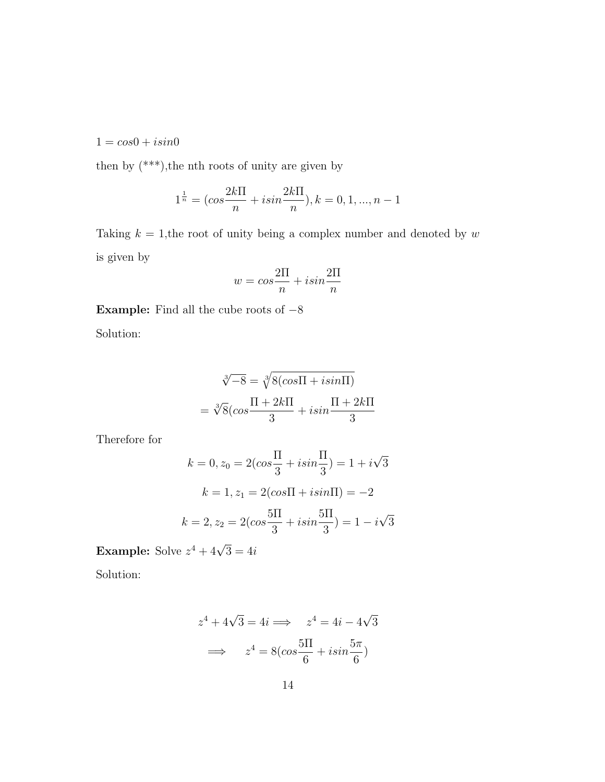$1 = cos0 + i sin0$ 

then by  $(***),$  the nth roots of unity are given by

$$
1^{\frac{1}{n}} = (\cos \frac{2k \Pi}{n} + i \sin \frac{2k \Pi}{n}), k = 0, 1, ..., n - 1
$$

Taking  $k = 1$ , the root of unity being a complex number and denoted by w is given by

$$
w = \cos\frac{2\Pi}{n} + i\sin\frac{2\Pi}{n}
$$

Example: Find all the cube roots of  $-8$ Solution:

$$
\sqrt[3]{-8} = \sqrt[3]{8(\cos \Pi + i \sin \Pi)}
$$

$$
= \sqrt[3]{8}(\cos \frac{\Pi + 2k\Pi}{3} + i \sin \frac{\Pi + 2k\Pi}{3})
$$

Therefore for

$$
k = 0, z_0 = 2(cos\frac{\Pi}{3} + i sin\frac{\Pi}{3}) = 1 + i\sqrt{3}
$$
  
\n
$$
k = 1, z_1 = 2(cos\Pi + i sin\Pi) = -2
$$
  
\n
$$
k = 2, z_2 = 2(cos\frac{5\Pi}{3} + i sin\frac{5\Pi}{3}) = 1 - i\sqrt{3}
$$

Example: Solve  $z^4 + 4\sqrt{3} = 4i$ 

Solution:

$$
z4 + 4\sqrt{3} = 4i \implies z4 = 4i - 4\sqrt{3}
$$

$$
\implies z4 = 8(cos\frac{5\pi}{6} + i sin\frac{5\pi}{6})
$$